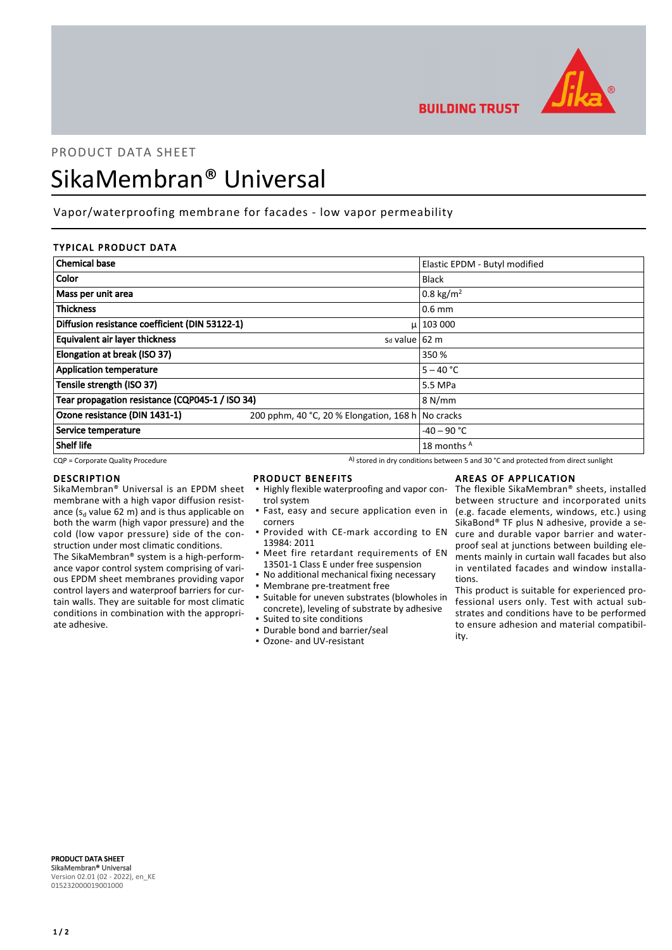

**BUILDING TRUST** 

# PRODUCT DATA SHEET SikaMembran® Universal

# Vapor/waterproofing membrane for facades - low vapor permeability

# TYPICAL PRODUCT DATA

| <b>Chemical base</b>                            |                                                   | Elastic EPDM - Butyl modified |
|-------------------------------------------------|---------------------------------------------------|-------------------------------|
| <b>Color</b>                                    |                                                   | <b>Black</b>                  |
| Mass per unit area                              |                                                   | 0.8 kg/m <sup>2</sup>         |
| <b>Thickness</b>                                |                                                   | $0.6$ mm                      |
| Diffusion resistance coefficient (DIN 53122-1)  |                                                   | $\mu$   103 000               |
| Equivalent air layer thickness                  | s <sub>d</sub> value 62 m                         |                               |
| Elongation at break (ISO 37)                    |                                                   | 350 %                         |
| <b>Application temperature</b>                  |                                                   | $5 - 40 °C$                   |
| Tensile strength (ISO 37)                       |                                                   | 5.5 MPa                       |
| Tear propagation resistance (CQP045-1 / ISO 34) |                                                   | 8 N/mm                        |
| Ozone resistance (DIN 1431-1)                   | 200 pphm, 40 °C, 20 % Elongation, 168 h No cracks |                               |
| Service temperature                             |                                                   | $-40 - 90$ °C                 |
| Shelf life                                      |                                                   | 18 months A                   |

 $CQP$  = Corporate Quality Procedure  $A)$  stored in dry conditions between 5 and 30 °C and protected from direct sunlight

### DESCRIPTION

SikaMembran® Universal is an EPDM sheet membrane with a high vapor diffusion resistance ( $s_d$  value 62 m) and is thus applicable on both the warm (high vapor pressure) and the cold (low vapor pressure) side of the construction under most climatic conditions.

The SikaMembran® system is a high-performance vapor control system comprising of various EPDM sheet membranes providing vapor control layers and waterproof barriers for curtain walls. They are suitable for most climatic conditions in combination with the appropriate adhesive.

### PRODUCT BENEFITS

- **.** Highly flexible waterproofing and vapor control system
- **·** Fast, easy and secure application even in corners
- **Provided with CE-mark according to EN** 13984: 2011
- **•** Meet fire retardant requirements of EN 13501-1 Class E under free suspension
- No additional mechanical fixing necessary
- Membrane pre-treatment free
- Suitable for uneven substrates (blowholes in concrete), leveling of substrate by adhesive ▪ Suited to site conditions
- Durable bond and barrier/seal
- Ozone- and UV-resistant

# AREAS OF APPLICATION

The flexible SikaMembran® sheets, installed between structure and incorporated units (e.g. facade elements, windows, etc.) using SikaBond® TF plus N adhesive, provide a secure and durable vapor barrier and waterproof seal at junctions between building elements mainly in curtain wall facades but also in ventilated facades and window installations.

This product is suitable for experienced professional users only. Test with actual substrates and conditions have to be performed to ensure adhesion and material compatibility.

PRODUCT DATA SHEET SikaMembran® Universal Version 02.01 (02 - 2022), en\_KE 015232000019001000